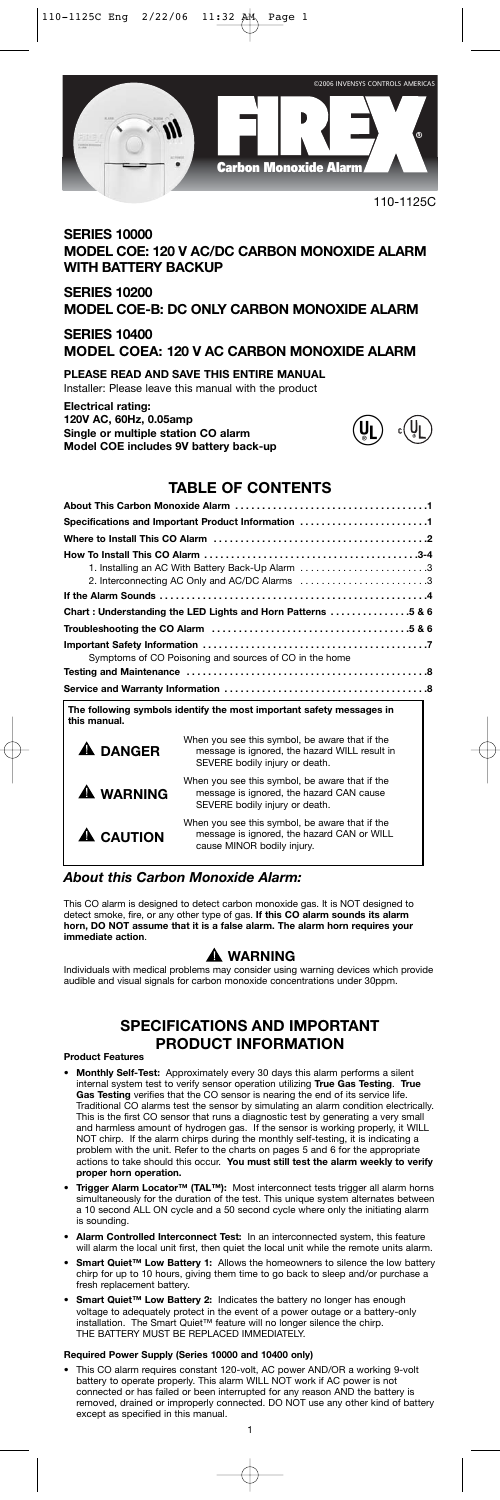|       | ©2006 INVENSYS CONTROLS AMERICAS           |
|-------|--------------------------------------------|
| at an | $^{\circ}$<br><b>Carbon Monoxide Alarm</b> |
|       |                                            |

110-1125C

### **SERIES 10000 MODEL COE: 120 V AC/DC CARBON MONOXIDE ALARM WITH BATTERY BACKUP**

### **SERIES 10200 MODEL COE-B: DC ONLY CARBON MONOXIDE ALARM**

**SERIES 10400 MODEL COEA: 120 V AC CARBON MONOXIDE ALARM**

**PLEASE READ AND SAVE THIS ENTIRE MANUAL** Installer: Please leave this manual with the product **Electrical rating: 120V AC, 60Hz, 0.05amp**

**Single or multiple station CO alarm Model COE includes 9V battery back-up**

### $\left(\begin{matrix} 0 \\ 0 \end{matrix}\right)$  $_{\rm c}$ (UL

# **TABLE OF CONTENTS**

| Specifications and Important Product Information 1          |
|-------------------------------------------------------------|
|                                                             |
|                                                             |
|                                                             |
| 2. Interconnecting AC Only and AC/DC Alarms 3               |
|                                                             |
| Chart: Understanding the LED Lights and Horn Patterns 5 & 6 |
|                                                             |
|                                                             |
| Symptoms of CO Poisoning and sources of CO in the home      |
|                                                             |
|                                                             |

**The following symbols identify the most important safety messages in this manual.**



*About this Carbon Monoxide Alarm:*

This CO alarm is designed to detect carbon monoxide gas. It is NOT designed to<br>detect smoke, fire, or any other type of gas. **If this CO alarm sounds its alarm**<br>**horn, DO NOT assume that it is a false alarm. The alarm horn immediate action**.

**A WARNING**<br>s may consider using warning devices which provide Individuals with medical problems may consider using warning devices which provide audible and visual signals for carbon monoxide concentrations under 30ppm.

## **SPECIFICATIONS AND IMPORTANT PRODUCT INFORMATION**

**Product Features**

- **Monthly Self-Test:** Approximately every 30 days this alarm performs a silent internal system test to verify sensor operation utilizing **True Gas Testing**. **True Gas Testing** verifies that the CO sensor is nearing the end of its service life. Traditional CO alarms test the sensor by simulating an alarm condition electrically. This is the first CO sensor that runs a diagnostic test by generating a very small and harmless amount of hydrogen gas. If the sensor is working properly, it WILL NOT chirp. If the alarm chirps during the monthly self-testing, it is indicating a problem with the unit. Refer to the charts on pages 5 and 6 for the appropriate actions to take should this occur. **You must still test the alarm weekly to verify proper horn operation.**
- **Trigger Alarm Locator™ (TAL™):** Most interconnect tests trigger all alarm horns simultaneously for the duration of the test. This unique system alternates between a 10 second ALL ON cycle and a 50 second cycle where only the initiating alarm is sounding.
- **Alarm Controlled Interconnect Test:** In an interconnected system, this feature will alarm the local unit first, then quiet the local unit while the remote units alarm.
- **Smart Quiet™ Low Battery 1:** Allows the homeowners to silence the low battery chirp for up to 10 hours, giving them time to go back to sleep and/or purchase a fresh replacement battery.
- **Smart Quiet™ Low Battery 2:** Indicates the battery no longer has enough voltage to adequately protect in the event of a power outage or a battery-only installation. The Smart Quiet™ feature will no longer silence the chirp. THE BATTERY MUST BE REPLACED IMMEDIATELY.

### **Required Power Supply (Series 10000 and 10400 only)**

• This CO alarm requires constant 120-volt, AC power AND/OR a working 9-volt<br>battery to operate properly. This alarm WILL NOT work if AC power is not<br>connected or has failed or been interrupted for any reason AND the batte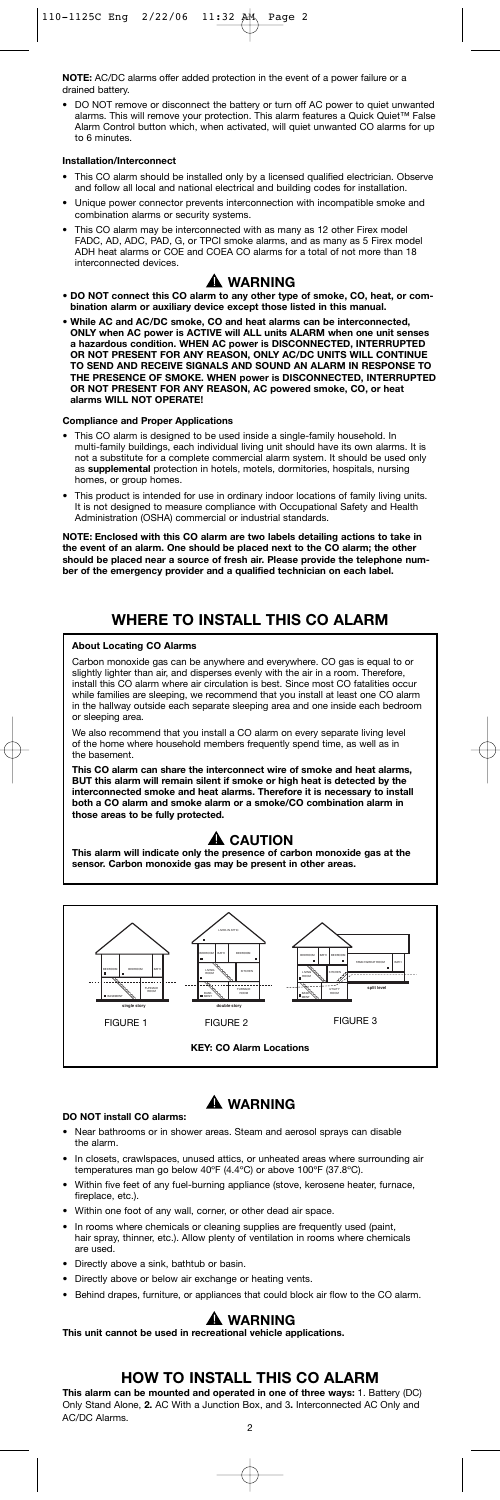**NOTE:** AC/DC alarms offer added protection in the event of a power failure or a drained battery --<br>ed battery.

• DO NOT remove or disconnect the battery or turn off AC power to quiet unwanted alarms. This will remove your protection. This alarm features a Quick Quiet™ False Alarm Control button which, when activated, will quiet unwanted CO alarms for up to 6 minutes.

### **Installation/Interconnect**

- This CO alarm should be installed only by a licensed qualified electrician. Observe
- and follow all local and national electrical and building codes for installation. • Unique power connector prevents interconnection with incompatible smoke and combination alarms or security systems.
- This CO alarm may be interconnected with as many as 12 other Firex model FADC, AD, ADC, PAD, G, or TPCI smoke alarms, and as many as 5 Firex model ADH heat alarms or COE and COEA CO alarms for a total of not more than 18 interconnected devices.

# **WARNING**

- **DO NOT connect this CO alarm to any other type of smoke, CO, heat, or combination alarm or auxiliary device except those listed in this manual.**
- **While AC and AC/DC smoke, CO and heat alarms can be interconnected, ONLY when AC power is ACTIVE will ALL units ALARM when one unit senses a hazardous condition. WHEN AC power is DISCONNECTED, INTERRUPTED OR NOT PRESENT FOR ANY REASON, ONLY AC/DC UNITS WILL CONTINUE TO SEND AND RECEIVE SIGNALS AND SOUND AN ALARM IN RESPONSE TO THE PRESENCE OF SMOKE. WHEN power is DISCONNECTED, INTERRUPTED OR NOT PRESENT FOR ANY REASON, AC powered smoke, CO, or heat alarms WILL NOT OPERATE!**

### **Compliance and Proper Applications**

- This CO alarm is designed to be used inside a single-family household. In multi-family buildings, each individual living unit should have its own alarms. It is not a substitute for a complete commercial alarm system. It should be used only as **supplemental** protection in hotels, motels, dormitories, hospitals, nursing homes, or group homes.
- This product is intended for use in ordinary indoor locations of family living units. It is not designed to measure compliance with Occupational Safety and Health Administration (OSHA) commercial or industrial standards.

**NOTE: Enclosed with this CO alarm are two labels detailing actions to take in the event of an alarm. One should be placed next to the CO alarm; the other should be placed near a source of fresh air. Please provide the telephone number of the emergency provider and a qualified technician on each label.**

# **WHERE TO INSTALL THIS CO ALARM**

### **About Locating CO Alarms**

Carbon monoxide gas can be anywhere and everywhere. CO gas is equal to or slightly lighter than air, and disperses evenly with the air in a room. Therefore, install this CO alarm where air circulation is best. Since most CO fatalities occur while families are sleeping, we recommend that you install at least one CO alarm in the hallway outside each separate sleeping area and one inside each bedroom or sleeping area.

We also recommend that you install a CO alarm on every separate living level of the home where household members frequently spend time, as well as in the basement.

**This CO alarm can share the interconnect wire of smoke and heat alarms, BUT this alarm will remain silent if smoke or high heat is detected by the interconnected smoke and heat alarms. Therefore it is necessary to install both a CO alarm and smoke alarm or a smoke/CO combination alarm in those areas to be fully protected.**

**A** CAUTION<br>he presence of carbon monoxide gas at the **This alarm will indicate only the presence of carbon monoxide gas at the sensor. Carbon monoxide gas may be present in other areas.**



# **WARNING**

### **DO NOT install CO alarms:**

- Near bathrooms or in shower areas. Steam and aerosol sprays can disable the alarm.
- In closets, crawlspaces, unused attics, or unheated areas where surrounding air temperatures man go below 40ºF (4.4ºC) or above 100ºF (37.8ºC).
- Within five feet of any fuel-burning appliance (stove, kerosene heater, furnace, fireplace, etc.).
- Within one foot of any wall, corner, or other dead air space.
- In rooms where chemicals or cleaning supplies are frequently used (paint, hair spray, thinner, etc.). Allow plenty of ventilation in rooms where chemicals are used.
- Directly above a sink, bathtub or basin.
- Directly above or below air exchange or heating vents.
- Behind drapes, furniture, or appliances that could block air flow to the CO alarm.

**WARNING This unit cannot be used in recreational vehicle applications.**

# **HOW TO INSTALL THIS CO ALARM**

**This alarm can be mounted and operated in one of three ways:** 1. Battery (DC) Only Stand Alone, **2.** AC With a Junction Box, and 3**.** Interconnected AC Only and AC/DC Alarms.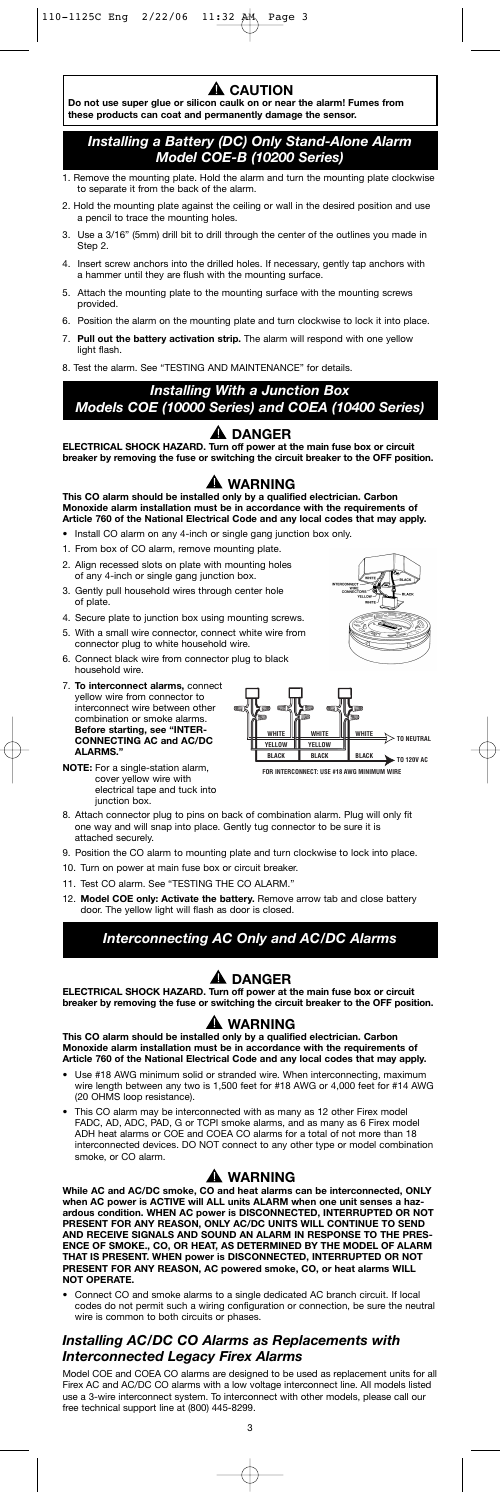**A** CAUTION

**Do not use super glue or silicon caulk on or near the alarm! Fumes from these products can coat and permanently damage the sensor.**

# *Installing a Battery (DC) Only Stand-Alone Alarm Model COE-B (10200 Series)*

- 1. Remove the mounting plate. Hold the alarm and turn the mounting plate clockwise to separate it from the back of the alarm.
- 2. Hold the mounting plate against the ceiling or wall in the desired position and use a pencil to trace the mounting holes.
- 3. Use a 3/16" (5mm) drill bit to drill through the center of the outlines you made in Step 2.
- 4. Insert screw anchors into the drilled holes. If necessary, gently tap anchors with a hammer until they are flush with the mounting surface.
- 5. Attach the mounting plate to the mounting surface with the mounting screws provided.
- 6. Position the alarm on the mounting plate and turn clockwise to lock it into place.
- 7. **Pull out the battery activation strip.** The alarm will respond with one yellow light flash.
- 8. Test the alarm. See "TESTING AND MAINTENANCE" for details.

# *Installing With a Junction Box Models COE (10000 Series) and COEA (10400 Series)*

### **DANGER**

**ELECTRICAL SHOCK HAZARD. Turn off power at the main fuse box or circuit breaker by removing the fuse or switching the circuit breaker to the OFF position.**

# **WARNING**

**This CO alarm should be installed only by a qualified electrician. Carbon Monoxide alarm installation must be in accordance with the requirements of Article 760 of the National Electrical Code and any local codes that may apply.**

- Install CO alarm on any 4-inch or single gang junction box only.
- 1. From box of CO alarm, remove mounting plate.
- 2. Align recessed slots on plate with mounting holes of any 4-inch or single gang junction box.
- 3. Gently pull household wires through center hole of plat
- 4. Secure plate to junction box using mounting screws.
- 5. With a small wire connector, connect white wire from
- connector plug to white household wire. 6. Connect black wire from connector plug to black household wire.
- 7. **To interconnect alarms,** connect yellow wire from connector to interconnect wire between other combination or smoke alarms. **Before starting, see "INTER-CONNECTING AC and AC/DC ALARMS.**
- **NOTE:** For a single-station alarm, cover yellow wire with electrical tape and tuck into junction box.
- 8. Attach connector plug to pins on back of combination alarm. Plug will only fit one way and will snap into place. Gently tug connector to be sure it is attached securely.
- 9. Position the CO alarm to mounting plate and turn clockwise to lock into place.

10. Turn on power at main fuse box or circuit breaker.

- 11. Test CO alarm. See "TESTING THE CO ALARM."
- 12. **Model COE only: Activate the battery.** Remove arrow tab and close battery door. The yellow light will flash as door is closed.
	- *Interconnecting AC Only and AC/DC Alarms*

### **A** DANGER

**ELECTRICAL SHOCK HAZARD. Turn off power at the main fuse box or circuit breaker by removing the fuse or switching the circuit breaker to the OFF position.**

### **WARNING**

**This CO alarm should be installed only by a qualified electrician. Carbon Monoxide alarm installation must be in accordance with the requirements of Article 760 of the National Electrical Code and any local codes that may apply.**

- Use #18 AWG minimum solid or stranded wire. When interconnecting, maximum wire length between any two is 1,500 feet for #18 AWG or 4,000 feet for #14 AWG (20 OHMS loop resistance).
- This CO alarm may be interconnected with as many as 12 other Firex model FADC, AD, ADC, PAD, G or TCPI smoke alarms, and as many as 6 Firex model ADH heat alarms or COE and COEA CO alarms for a total of not more than 18 interconnected devices. DO NOT connect to any other type or model combination smoke, or CO alarm.

# **WARNING**

**While AC and AC/DC smoke, CO and heat alarms can be interconnected, ONLY when AC power is ACTIVE will ALL units ALARM when one unit senses a hazardous condition. WHEN AC power is DISCONNECTED, INTERRUPTED OR NOT PRESENT FOR ANY REASON, ONLY AC/DC UNITS WILL CONTINUE TO SEND AND RECEIVE SIGNALS AND SOUND AN ALARM IN RESPONSE TO THE PRES-ENCE OF SMOKE., CO, OR HEAT, AS DETERMINED BY THE MODEL OF ALARM THAT IS PRESENT. WHEN power is DISCONNECTED, INTERRUPTED OR NOT PRESENT FOR ANY REASON, AC powered smoke, CO, or heat alarms WILL NOT OPERATE.** 

• Connect CO and smoke alarms to a single dedicated AC branch circuit. If local codes do not permit such a wiring configuration or connection, be sure the neutral wire is common to both circuits or phases.

### *Installing AC/DC CO Alarms as Replacements with Interconnected Legacy Firex Alarms*

Model COE and COEA CO alarms are designed to be used as replacement units for all Firex AC and AC/DC CO alarms with a low voltage interconnect line. All models listed use a 3-wire interconnect system. To interconnect with other models, please call our free technical support line at (800) 445-8299.



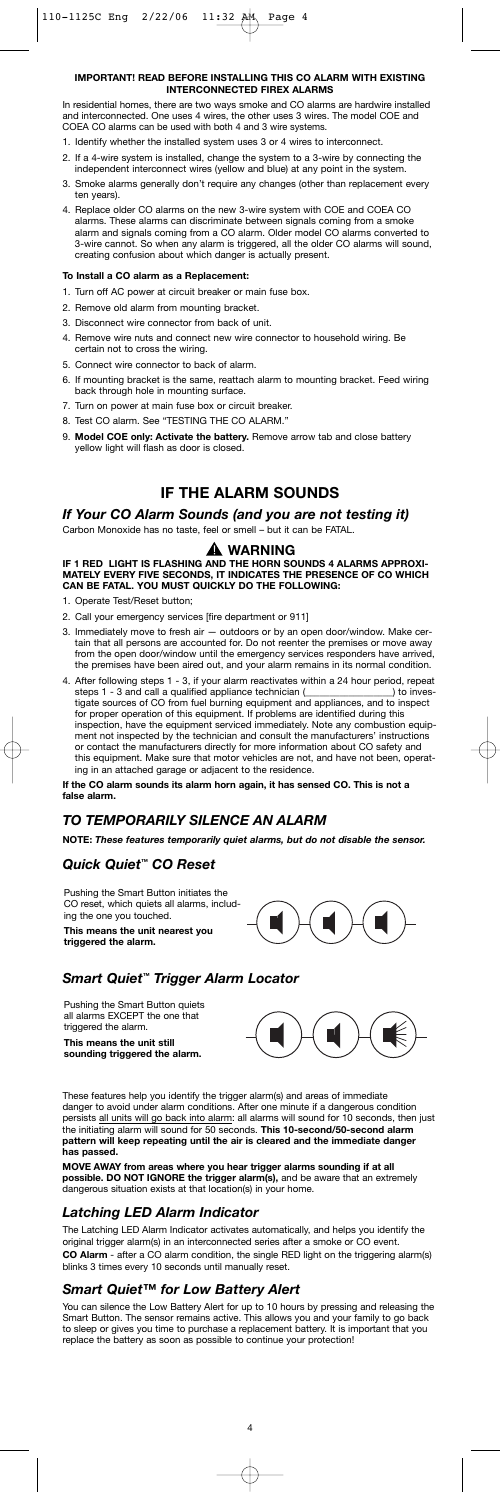#### **IMPORTANT! READ BEFORE INSTALLING THIS CO ALARM WITH EXISTING INTERCONNECTED FIREX ALARMS**

In residential homes, there are two ways smoke and CO alarms are hardwire installed and interconnected. One uses 4 wires, the other uses 3 wires. The model COE and COEA CO alarms can be used with both 4 and 3 wire systems.

- 1. Identify whether the installed system uses 3 or 4 wires to interconnect.
- 2. If a 4-wire system is installed, change the system to a 3-wire by connecting the
- independent interconnect wires (yellow and blue) at any point in the system.
- 3. Smoke alarms generally don't require any changes (other than replacement every ten years).
- 4. Replace older CO alarms on the new 3-wire system with COE and COEA CO alarms. These alarms can discriminate between signals coming from a smoke alarm and signals coming from a CO alarm. Older model CO alarms converted to 3-wire cannot. So when any alarm is triggered, all the older CO alarms will sound, creating confusion about which danger is actually present.

### **To Install a CO alarm as a Replacement:**

- 1. Turn off AC power at circuit breaker or main fuse box.
- 2. Remove old alarm from mounting bracket.
- 3. Disconnect wire connector from back of unit.
- 4. Remove wire nuts and connect new wire connector to household wiring. Be
- certain not to cross the wiring.
- 5. Connect wire connector to back of alarm.
- 6. If mounting bracket is the same, reattach alarm to mounting bracket. Feed wiring back through hole in mounting surface.
- 7. Turn on power at main fuse box or circuit breaker.
- 8. Test CO alarm. See "TESTING THE CO ALARM."
- 9. **Model COE only: Activate the battery.** Remove arrow tab and close battery yellow light will flash as door is closed.

# **IF THE ALARM SOUNDS**

# *If Your CO Alarm Sounds (and you are not testing it)*

Carbon Monoxide has no taste, feel or smell – but it can be FATAL.

# **WARNING**

#### **IF 1 RED LIGHT IS FLASHING AND THE HORN SOUNDS 4 ALARMS APPROXI-MATELY EVERY FIVE SECONDS, IT INDICATES THE PRESENCE OF CO WHICH CAN BE FATAL. YOU MUST QUICKLY DO THE FOLLOWING:**

- 1. Operate Test/Reset button;
- 2. Call your emergency services [fire department or 911]
- 3. Immediately move to fresh air outdoors or by an open door/window. Make certain that all persons are accounted for. Do not reenter the premises or move away from the open door/window until the emergency services responders have arrived, the premises have been aired out, and your alarm remains in its normal condition.
- 4. After following steps 1 3, if your alarm reactivates within a 24 hour period, repeat steps 1 - 3 and call a qualified appliance technician (\_\_\_\_\_\_\_\_\_\_\_\_\_\_\_\_\_\_) to investigate sources of CO from fuel burning equipment and appliances, and to inspect for proper operation of this equipment. If problems are identified during this inspection, have the equipment serviced immediately. Note any combustion equipment not inspected by the technician and consult the manufacturers' instructions or contact the manufacturers directly for more information about CO safety and this equipment. Make sure that motor vehicles are not, and have not been, operating in an attached garage or adjacent to the residence.

**If the CO alarm sounds its alarm horn again, it has sensed CO. This is not a false alarm.**

### *TO TEMPORARILY SILENCE AN ALARM*

**NOTE:** *These features temporarily quiet alarms, but do not disable the sensor.*

### *Quick Quiet™ CO Reset*

Pushing the Smart Button initiates the CO reset, which quiets all alarms, including the one you touched.

**This means the unit nearest you triggered the alarm.**



### *Smart Quiet™ Trigger Alarm Locator*

Pushing the Smart Button quiets all alarms EXCEPT the one that triggered the alarm. **This means the unit still sounding triggered the alarm.**



These features help you identify the trigger alarm(s) and areas of immediate danger to avoid under alarm conditions. After one minute if a dangerous condition<br>persists <u>all units will go back into alarm:</u> all alarms will sound for 10 seconds, then just<br>the initiating alarm will sound for 50 seconds **has passed.**

**MOVE AWAY from areas where you hear trigger alarms sounding if at all possible. DO NOT IGNORE the trigger alarm(s),** and be aware that an extremely dangerous situation exists at that location(s) in your home.

### *Latching LED Alarm Indicator*

The Latching LED Alarm Indicator activates automatically, and helps you identify the original trigger alarm(s) in an interconnected series after a smoke or CO event. **CO Alarm** - after a CO alarm condition, the single RED light on the triggering alarm(s) blinks 3 times every 10 seconds until manually reset.

# *Smart Quiet™ for Low Battery Alert*

You can silence the Low Battery Alert for up to 10 hours by pressing and releasing the Smart Button. The sensor remains active. This allows you and your family to go back to sleep or gives you time to purchase a replacement battery. It is important that you replace the battery as soon as possible to continue your protection!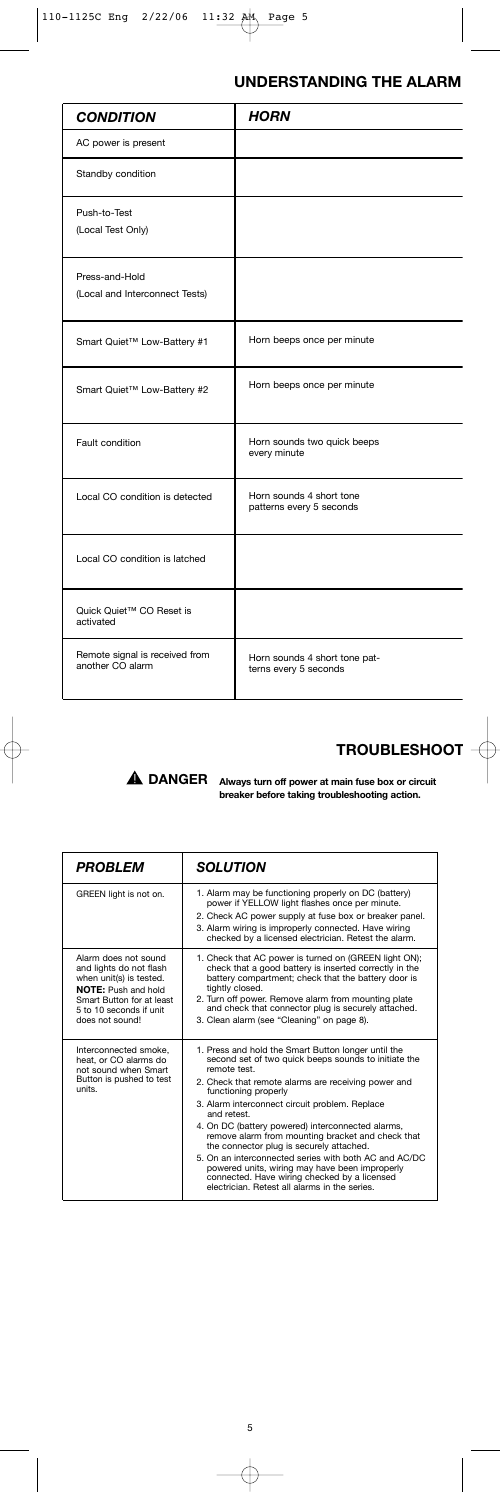# **UNDERSTANDING THE ALARM**

| <b>CONDITION</b>                                   | <b>HORN</b>                                            |
|----------------------------------------------------|--------------------------------------------------------|
| AC power is present                                |                                                        |
| Standby condition                                  |                                                        |
| Push-to-Test<br>(Local Test Only)                  |                                                        |
| Press-and-Hold<br>(Local and Interconnect Tests)   |                                                        |
| Smart Quiet™ Low-Battery #1                        | Horn beeps once per minute                             |
| Smart Quiet™ Low-Battery #2                        | Horn beeps once per minute                             |
| Fault condition                                    | Horn sounds two quick beeps<br>every minute            |
| Local CO condition is detected                     | Horn sounds 4 short tone<br>patterns every 5 seconds   |
| Local CO condition is latched                      |                                                        |
| Quick Quiet <sup>™</sup> CO Reset is<br>activated  |                                                        |
| Remote signal is received from<br>another CO alarm | Horn sounds 4 short tone pat-<br>terns every 5 seconds |

# **TROUBLESHOOT**

### **DANGER Always turn off power at main fuse box or circuit breaker before taking troubleshooting action.**

| <b>PROBLEM</b>                                                                                                                                                                      | <b>SOLUTION</b>                                                                                                                                                                                                                                                                                                                                                                                                                                                                                                                                                                                                                             |
|-------------------------------------------------------------------------------------------------------------------------------------------------------------------------------------|---------------------------------------------------------------------------------------------------------------------------------------------------------------------------------------------------------------------------------------------------------------------------------------------------------------------------------------------------------------------------------------------------------------------------------------------------------------------------------------------------------------------------------------------------------------------------------------------------------------------------------------------|
| GREEN light is not on.                                                                                                                                                              | 1. Alarm may be functioning properly on DC (battery)<br>power if YELLOW light flashes once per minute.<br>2. Check AC power supply at fuse box or breaker panel.<br>3. Alarm wiring is improperly connected. Have wiring<br>checked by a licensed electrician. Retest the alarm.                                                                                                                                                                                                                                                                                                                                                            |
| Alarm does not sound<br>and lights do not flash<br>when unit(s) is tested.<br><b>NOTE:</b> Push and hold<br>Smart Button for at least<br>5 to 10 seconds if unit<br>does not sound! | 1. Check that AC power is turned on (GREEN light ON);<br>check that a good battery is inserted correctly in the<br>battery compartment; check that the battery door is<br>tightly closed.<br>2. Turn off power. Remove alarm from mounting plate<br>and check that connector plug is securely attached.<br>3. Clean alarm (see "Cleaning" on page 8).                                                                                                                                                                                                                                                                                       |
| Interconnected smoke,<br>heat, or CO alarms do<br>not sound when Smart<br>Button is pushed to test<br>units.                                                                        | 1. Press and hold the Smart Button longer until the<br>second set of two quick beeps sounds to initiate the<br>remote test<br>2. Check that remote alarms are receiving power and<br>functioning properly<br>3. Alarm interconnect circuit problem. Replace<br>and retest<br>4. On DC (battery powered) interconnected alarms,<br>remove alarm from mounting bracket and check that<br>the connector plug is securely attached.<br>5. On an interconnected series with both AC and AC/DC<br>powered units, wiring may have been improperly<br>connected. Have wiring checked by a licensed<br>electrician. Retest all alarms in the series. |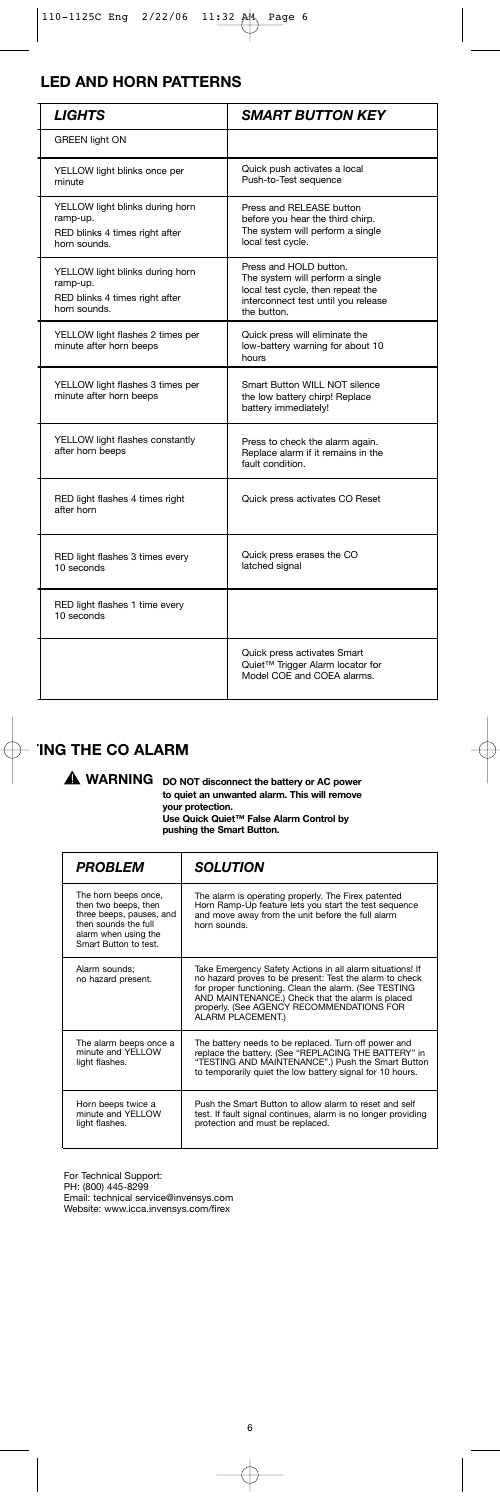# **LED AND HORN PATTERNS**

| <b>LIGHTS</b>                                                                                 | <b>SMART BUTTON KEY</b>                                                                                                                               |
|-----------------------------------------------------------------------------------------------|-------------------------------------------------------------------------------------------------------------------------------------------------------|
| <b>GREEN light ON</b>                                                                         |                                                                                                                                                       |
| YELLOW light blinks once per<br>minute                                                        | Quick push activates a local<br>Push-to-Test sequence                                                                                                 |
| YELLOW light blinks during horn<br>ramp-up.<br>RED blinks 4 times right after<br>horn sounds. | Press and RELEASE button<br>before you hear the third chirp.<br>The system will perform a single<br>local test cycle.                                 |
| YELLOW light blinks during horn<br>ramp-up.<br>RED blinks 4 times right after<br>horn sounds. | Press and HOLD button.<br>The system will perform a single<br>local test cycle, then repeat the<br>interconnect test until you release<br>the button. |
| YELLOW light flashes 2 times per<br>minute after horn beeps                                   | Quick press will eliminate the<br>low-battery warning for about 10<br>hours                                                                           |
| YELLOW light flashes 3 times per<br>minute after horn beeps                                   | Smart Button WILL NOT silence<br>the low battery chirp! Replace<br>battery immediately!                                                               |
| YELLOW light flashes constantly<br>after horn beeps                                           | Press to check the alarm again.<br>Replace alarm if it remains in the<br>fault condition.                                                             |
| RED light flashes 4 times right<br>after horn                                                 | Quick press activates CO Reset                                                                                                                        |
| RED light flashes 3 times every<br>10 seconds                                                 | Quick press erases the CO<br>latched signal                                                                                                           |
| RED light flashes 1 time every<br>10 seconds                                                  |                                                                                                                                                       |
|                                                                                               | Quick press activates Smart<br>Quiet <sup>™</sup> Trigger Alarm locator for<br>Model COE and COEA alarms.                                             |

# **TING THE CO ALARM**

**WARNING DO NOT disconnect the battery or AC power to quiet an unwanted alarm. This will remove your protection. Use Quick Quiet™ False Alarm Control by pushing the Smart Button.**

| <b>PROBLEM</b>                                                                                                                                    | <b>SOLUTION</b>                                                                                                                                                                                                                                                                                     |
|---------------------------------------------------------------------------------------------------------------------------------------------------|-----------------------------------------------------------------------------------------------------------------------------------------------------------------------------------------------------------------------------------------------------------------------------------------------------|
| The horn beeps once,<br>then two beeps, then<br>three beeps, pauses, and<br>then sounds the full<br>alarm when using the<br>Smart Button to test. | The alarm is operating properly. The Firex patented<br>Horn Ramp-Up feature lets you start the test sequence<br>and move away from the unit before the full alarm<br>horn sounds.                                                                                                                   |
| Alarm sounds:<br>no hazard present.                                                                                                               | Take Emergency Safety Actions in all alarm situations! If<br>no hazard proves to be present: Test the alarm to check<br>for proper functioning. Clean the alarm. (See TESTING<br>AND MAINTENANCE.) Check that the alarm is placed<br>properly. (See AGENCY RECOMMENDATIONS FOR<br>ALARM PLACEMENT.) |
| The alarm beeps once a<br>minute and YFLLOW<br>light flashes.                                                                                     | The battery needs to be replaced. Turn off power and<br>replace the battery. (See "REPLACING THE BATTERY" in<br>"TESTING AND MAINTENANCE".) Push the Smart Button<br>to temporarily quiet the low battery signal for 10 hours.                                                                      |
| Horn beeps twice a<br>minute and YELLOW<br>light flashes.                                                                                         | Push the Smart Button to allow alarm to reset and self<br>test. If fault signal continues, alarm is no longer providing<br>protection and must be replaced.                                                                                                                                         |

For Technical Support:

PH: (800) 445-8299 Email: technical service@invensys.com Website: www.icca.invensys.com/firex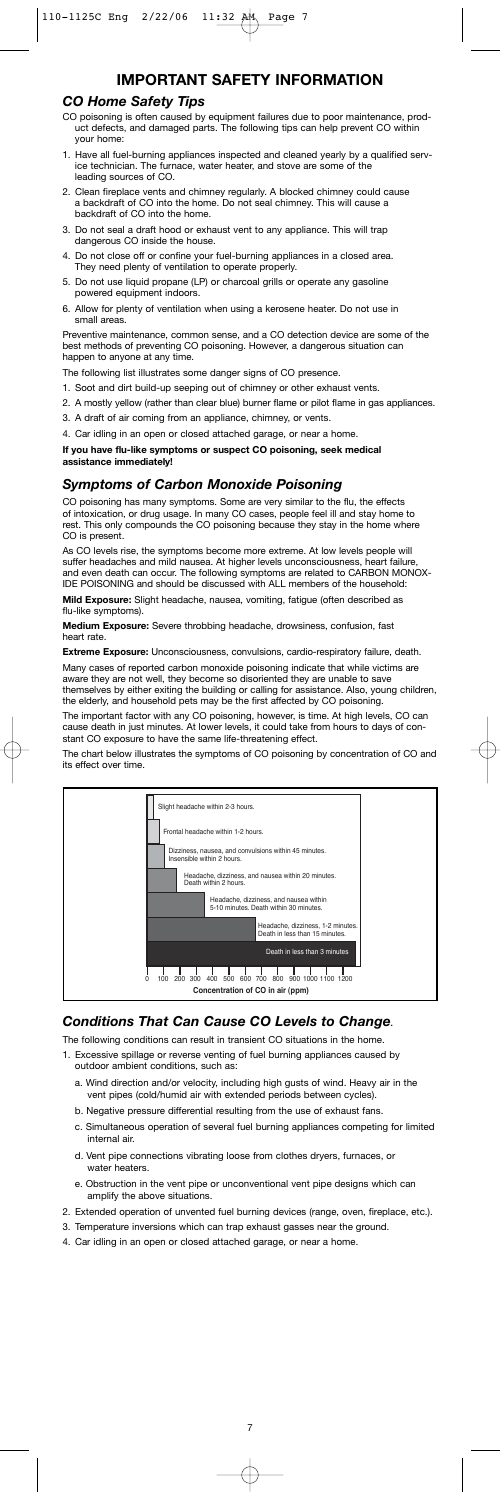# **IMPORTANT SAFETY INFORMATION**

# *CO Home Safety Tips*

- CO poisoning is often caused by equipment failures due to poor maintenance, product defects, and damaged parts. The following tips can help prevent CO within your home:
- 1. Have all fuel-burning appliances inspected and cleaned yearly by a qualified service technician. The furnace, water heater, and stove are some of the leading sources of CO.
- 2. Clean fireplace vents and chimney regularly. A blocked chimney could cause a backdraft of CO into the home. Do not seal chimney. This will cause a backdraft of CO into the home.
- 3. Do not seal a draft hood or exhaust vent to any appliance. This will trap dangerous CO inside the house.
- 4. Do not close off or confine your fuel-burning appliances in a closed area. They need plenty of ventilation to operate properly.
- 5. Do not use liquid propane (LP) or charcoal grills or operate any gasoline powered equipment indoors.
- 6. Allow for plenty of ventilation when using a kerosene heater. Do not use in small areas.

Preventive maintenance, common sense, and a CO detection device are some of the best methods of preventing CO poisoning. However, a dangerous situation can happen to anyone at any time.

- The following list illustrates some danger signs of CO presence.
- 1. Soot and dirt build-up seeping out of chimney or other exhaust vents.
- 2. A mostly yellow (rather than clear blue) burner flame or pilot flame in gas appliances.
- 3. A draft of air coming from an appliance, chimney, or vents. 4. Car idling in an open or closed attached garage, or near a home.

**If you have flu-like symptoms or suspect CO poisoning, seek medical assistance immediately!**

### *Symptoms of Carbon Monoxide Poisoning*

CO poisoning has many symptoms. Some are very similar to the flu, the effects<br>of intoxication, or drug usage. In many CO cases, people feel ill and stay home to<br>rest. This only compounds the CO poisoning because they stay CO is present.

As CO levels rise, the symptoms become more extreme. At low levels people will suffer headaches and mild nausea. At higher levels unconsciousness, heart failure, and even death can occur. The following symptoms are related to CARBON MONOX-IDE POISONING and should be discussed with ALL members of the household: **Mild Exposure:** Slight headache, nausea, vomiting, fatigue (often described as flu-like symptoms).

**Medium Exposure:** Severe throbbing headache, drowsiness, confusion, fast heart rate.

**Extreme Exposure:** Unconsciousness, convulsions, cardio-respiratory failure, death. Many cases of reported carbon monoxide poisoning indicate that while victims are aware they are not well, they become so disoriented they are unable to save themselves by either exiting the building or calling for assistance. Also, young children, the elderly, and household pets may be the first affected by CO poisoning.

The important factor with any CO poisoning, however, is time. At high levels, CO can cause death in just minutes. At lower levels, it could take from hours to days of constant CO exposure to have the same life-threatening effect.

The chart below illustrates the symptoms of CO poisoning by concentration of CO and its effect over time.



### *Conditions That Can Cause CO Levels to Change.*

The following conditions can result in transient CO situations in the home. 1. Excessive spillage or reverse venting of fuel burning appliances caused by

- outdoor ambient conditions, such as:
	- a. Wind direction and/or velocity, including high gusts of wind. Heavy air in the vent pipes (cold/humid air with extended periods between cycles).
- b. Negative pressure differential resulting from the use of exhaust fans.
- c. Simultaneous operation of several fuel burning appliances competing for limited internal air.
- d. Vent pipe connections vibrating loose from clothes dryers, furnaces, or water heaters.
- e. Obstruction in the vent pipe or unconventional vent pipe designs which can amplify the above situations.
- 2. Extended operation of unvented fuel burning devices (range, oven, fireplace, etc.).
- 3. Temperature inversions which can trap exhaust gasses near the ground.
- 4. Car idling in an open or closed attached garage, or near a home.